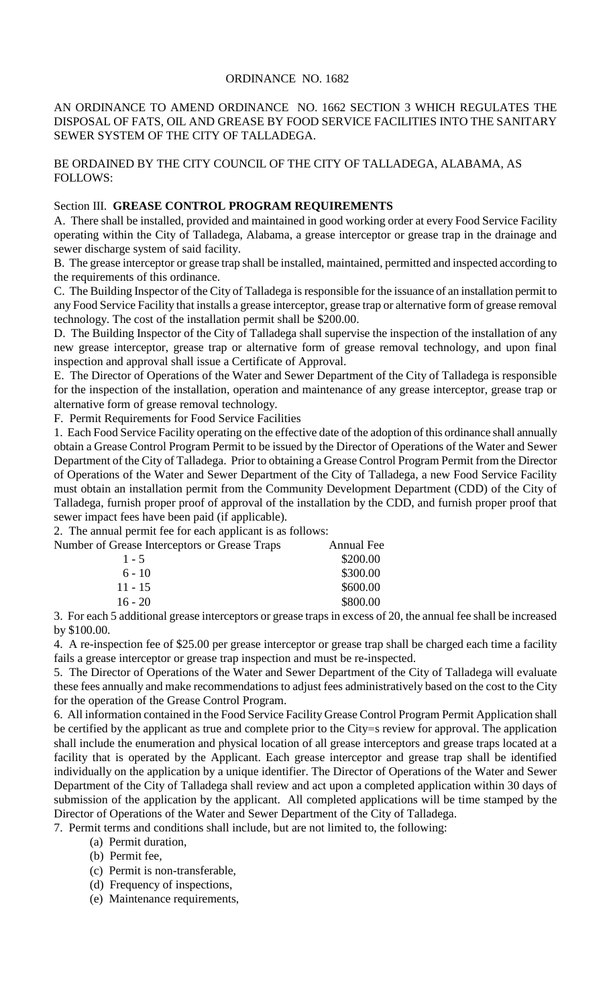## ORDINANCE NO. 1682

AN ORDINANCE TO AMEND ORDINANCE NO. 1662 SECTION 3 WHICH REGULATES THE DISPOSAL OF FATS, OIL AND GREASE BY FOOD SERVICE FACILITIES INTO THE SANITARY SEWER SYSTEM OF THE CITY OF TALLADEGA.

BE ORDAINED BY THE CITY COUNCIL OF THE CITY OF TALLADEGA, ALABAMA, AS FOLLOWS:

## Section III. **GREASE CONTROL PROGRAM REQUIREMENTS**

A. There shall be installed, provided and maintained in good working order at every Food Service Facility operating within the City of Talladega, Alabama, a grease interceptor or grease trap in the drainage and sewer discharge system of said facility.

B. The grease interceptor or grease trap shall be installed, maintained, permitted and inspected according to the requirements of this ordinance.

C. The Building Inspector of the City of Talladega is responsible for the issuance of an installation permit to any Food Service Facility that installs a grease interceptor, grease trap or alternative form of grease removal technology. The cost of the installation permit shall be \$200.00.

D. The Building Inspector of the City of Talladega shall supervise the inspection of the installation of any new grease interceptor, grease trap or alternative form of grease removal technology, and upon final inspection and approval shall issue a Certificate of Approval.

E. The Director of Operations of the Water and Sewer Department of the City of Talladega is responsible for the inspection of the installation, operation and maintenance of any grease interceptor, grease trap or alternative form of grease removal technology.

F. Permit Requirements for Food Service Facilities

1. Each Food Service Facility operating on the effective date of the adoption of this ordinance shall annually obtain a Grease Control Program Permit to be issued by the Director of Operations of the Water and Sewer Department of the City of Talladega. Prior to obtaining a Grease Control Program Permit from the Director of Operations of the Water and Sewer Department of the City of Talladega, a new Food Service Facility must obtain an installation permit from the Community Development Department (CDD) of the City of Talladega, furnish proper proof of approval of the installation by the CDD, and furnish proper proof that sewer impact fees have been paid (if applicable).

2. The annual permit fee for each applicant is as follows:

| Number of Grease Interceptors or Grease Traps | Annual Fee |
|-----------------------------------------------|------------|
| $1 - 5$                                       | \$200.00   |
| $6 - 10$                                      | \$300.00   |
| $11 - 15$                                     | \$600.00   |
| $16 - 20$                                     | \$800.00   |

3. For each 5 additional grease interceptors or grease traps in excess of 20, the annual fee shall be increased by \$100.00.

4. A re-inspection fee of \$25.00 per grease interceptor or grease trap shall be charged each time a facility fails a grease interceptor or grease trap inspection and must be re-inspected.

5. The Director of Operations of the Water and Sewer Department of the City of Talladega will evaluate these fees annually and make recommendations to adjust fees administratively based on the cost to the City for the operation of the Grease Control Program.

6. All information contained in the Food Service Facility Grease Control Program Permit Application shall be certified by the applicant as true and complete prior to the City=s review for approval. The application shall include the enumeration and physical location of all grease interceptors and grease traps located at a facility that is operated by the Applicant. Each grease interceptor and grease trap shall be identified individually on the application by a unique identifier. The Director of Operations of the Water and Sewer Department of the City of Talladega shall review and act upon a completed application within 30 days of submission of the application by the applicant. All completed applications will be time stamped by the Director of Operations of the Water and Sewer Department of the City of Talladega.

7. Permit terms and conditions shall include, but are not limited to, the following:

(a) Permit duration,

(b) Permit fee,

- (c) Permit is non-transferable,
- (d) Frequency of inspections,
- (e) Maintenance requirements,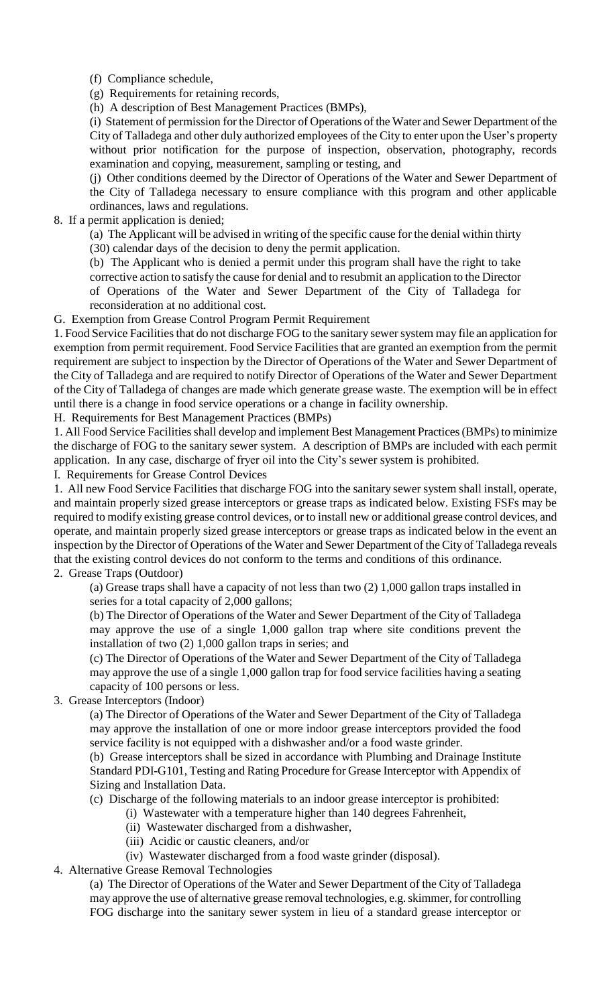(f) Compliance schedule,

(g) Requirements for retaining records,

(h) A description of Best Management Practices (BMPs),

(i) Statement of permission for the Director of Operations of the Water and Sewer Department of the City of Talladega and other duly authorized employees of the City to enter upon the User's property without prior notification for the purpose of inspection, observation, photography, records examination and copying, measurement, sampling or testing, and

(j) Other conditions deemed by the Director of Operations of the Water and Sewer Department of the City of Talladega necessary to ensure compliance with this program and other applicable ordinances, laws and regulations.

8. If a permit application is denied;

(a) The Applicant will be advised in writing of the specific cause for the denial within thirty

(30) calendar days of the decision to deny the permit application.

(b) The Applicant who is denied a permit under this program shall have the right to take corrective action to satisfy the cause for denial and to resubmit an application to the Director of Operations of the Water and Sewer Department of the City of Talladega for reconsideration at no additional cost.

G. Exemption from Grease Control Program Permit Requirement

1. Food Service Facilities that do not discharge FOG to the sanitary sewer system may file an application for exemption from permit requirement. Food Service Facilities that are granted an exemption from the permit requirement are subject to inspection by the Director of Operations of the Water and Sewer Department of the City of Talladega and are required to notify Director of Operations of the Water and Sewer Department of the City of Talladega of changes are made which generate grease waste. The exemption will be in effect until there is a change in food service operations or a change in facility ownership.

H. Requirements for Best Management Practices (BMPs)

1. All Food Service Facilities shall develop and implement Best Management Practices (BMPs) to minimize the discharge of FOG to the sanitary sewer system. A description of BMPs are included with each permit application. In any case, discharge of fryer oil into the City's sewer system is prohibited.

I. Requirements for Grease Control Devices

1. All new Food Service Facilities that discharge FOG into the sanitary sewer system shall install, operate, and maintain properly sized grease interceptors or grease traps as indicated below. Existing FSFs may be required to modify existing grease control devices, or to install new or additional grease control devices, and operate, and maintain properly sized grease interceptors or grease traps as indicated below in the event an inspection by the Director of Operations of the Water and Sewer Department of the City of Talladega reveals that the existing control devices do not conform to the terms and conditions of this ordinance.

## 2. Grease Traps (Outdoor)

(a) Grease traps shall have a capacity of not less than two (2) 1,000 gallon traps installed in series for a total capacity of 2,000 gallons;

(b) The Director of Operations of the Water and Sewer Department of the City of Talladega may approve the use of a single 1,000 gallon trap where site conditions prevent the installation of two (2) 1,000 gallon traps in series; and

(c) The Director of Operations of the Water and Sewer Department of the City of Talladega may approve the use of a single 1,000 gallon trap for food service facilities having a seating capacity of 100 persons or less.

3. Grease Interceptors (Indoor)

(a) The Director of Operations of the Water and Sewer Department of the City of Talladega may approve the installation of one or more indoor grease interceptors provided the food service facility is not equipped with a dishwasher and/or a food waste grinder.

(b) Grease interceptors shall be sized in accordance with Plumbing and Drainage Institute Standard PDI-G101, Testing and Rating Procedure for Grease Interceptor with Appendix of Sizing and Installation Data.

(c) Discharge of the following materials to an indoor grease interceptor is prohibited:

- (i) Wastewater with a temperature higher than 140 degrees Fahrenheit,
	- (ii) Wastewater discharged from a dishwasher,
	- (iii) Acidic or caustic cleaners, and/or
- (iv) Wastewater discharged from a food waste grinder (disposal).

4. Alternative Grease Removal Technologies

(a) The Director of Operations of the Water and Sewer Department of the City of Talladega may approve the use of alternative grease removal technologies, e.g. skimmer, for controlling FOG discharge into the sanitary sewer system in lieu of a standard grease interceptor or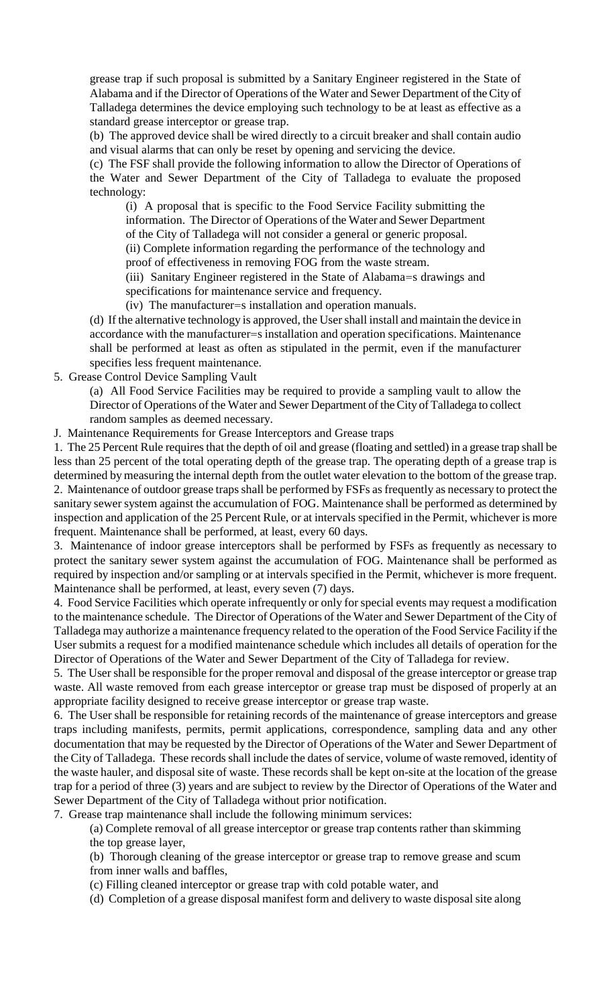grease trap if such proposal is submitted by a Sanitary Engineer registered in the State of Alabama and if the Director of Operations of the Water and Sewer Department of the City of Talladega determines the device employing such technology to be at least as effective as a standard grease interceptor or grease trap.

(b) The approved device shall be wired directly to a circuit breaker and shall contain audio and visual alarms that can only be reset by opening and servicing the device.

(c) The FSF shall provide the following information to allow the Director of Operations of the Water and Sewer Department of the City of Talladega to evaluate the proposed technology:

(i) A proposal that is specific to the Food Service Facility submitting the information. The Director of Operations of the Water and Sewer Department of the City of Talladega will not consider a general or generic proposal.

(ii) Complete information regarding the performance of the technology and

proof of effectiveness in removing FOG from the waste stream.

(iii) Sanitary Engineer registered in the State of Alabama=s drawings and specifications for maintenance service and frequency.

(iv) The manufacturer=s installation and operation manuals.

(d) If the alternative technology is approved, the User shall install and maintain the device in accordance with the manufacturer=s installation and operation specifications. Maintenance shall be performed at least as often as stipulated in the permit, even if the manufacturer specifies less frequent maintenance.

5. Grease Control Device Sampling Vault

(a) All Food Service Facilities may be required to provide a sampling vault to allow the Director of Operations of the Water and Sewer Department of the City of Talladega to collect random samples as deemed necessary.

J. Maintenance Requirements for Grease Interceptors and Grease traps

1. The 25 Percent Rule requires that the depth of oil and grease (floating and settled) in a grease trap shall be less than 25 percent of the total operating depth of the grease trap. The operating depth of a grease trap is determined by measuring the internal depth from the outlet water elevation to the bottom of the grease trap. 2. Maintenance of outdoor grease traps shall be performed by FSFs as frequently as necessary to protect the sanitary sewer system against the accumulation of FOG. Maintenance shall be performed as determined by inspection and application of the 25 Percent Rule, or at intervals specified in the Permit, whichever is more frequent. Maintenance shall be performed, at least, every 60 days.

3. Maintenance of indoor grease interceptors shall be performed by FSFs as frequently as necessary to protect the sanitary sewer system against the accumulation of FOG. Maintenance shall be performed as required by inspection and/or sampling or at intervals specified in the Permit, whichever is more frequent. Maintenance shall be performed, at least, every seven (7) days.

4. Food Service Facilities which operate infrequently or only for special events may request a modification to the maintenance schedule. The Director of Operations of the Water and Sewer Department of the City of Talladega may authorize a maintenance frequency related to the operation of the Food Service Facility if the User submits a request for a modified maintenance schedule which includes all details of operation for the Director of Operations of the Water and Sewer Department of the City of Talladega for review.

5. The User shall be responsible for the proper removal and disposal of the grease interceptor or grease trap waste. All waste removed from each grease interceptor or grease trap must be disposed of properly at an appropriate facility designed to receive grease interceptor or grease trap waste.

6. The User shall be responsible for retaining records of the maintenance of grease interceptors and grease traps including manifests, permits, permit applications, correspondence, sampling data and any other documentation that may be requested by the Director of Operations of the Water and Sewer Department of the City of Talladega. These records shall include the dates of service, volume of waste removed, identity of the waste hauler, and disposal site of waste. These records shall be kept on-site at the location of the grease trap for a period of three (3) years and are subject to review by the Director of Operations of the Water and Sewer Department of the City of Talladega without prior notification.

7. Grease trap maintenance shall include the following minimum services:

(a) Complete removal of all grease interceptor or grease trap contents rather than skimming the top grease layer,

(b) Thorough cleaning of the grease interceptor or grease trap to remove grease and scum from inner walls and baffles,

(c) Filling cleaned interceptor or grease trap with cold potable water, and

(d) Completion of a grease disposal manifest form and delivery to waste disposal site along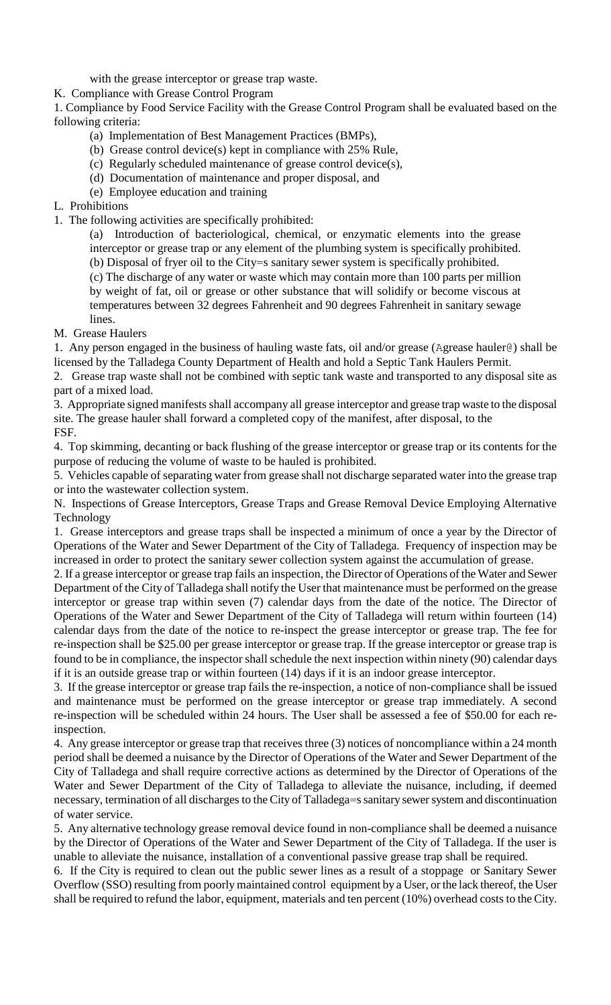with the grease interceptor or grease trap waste.

K. Compliance with Grease Control Program

1. Compliance by Food Service Facility with the Grease Control Program shall be evaluated based on the following criteria:

- (a) Implementation of Best Management Practices (BMPs),
- (b) Grease control device(s) kept in compliance with 25% Rule,
- (c) Regularly scheduled maintenance of grease control device(s),
- (d) Documentation of maintenance and proper disposal, and
- (e) Employee education and training
- L. Prohibitions
- 1. The following activities are specifically prohibited:

(a) Introduction of bacteriological, chemical, or enzymatic elements into the grease interceptor or grease trap or any element of the plumbing system is specifically prohibited. (b) Disposal of fryer oil to the City=s sanitary sewer system is specifically prohibited.

(c) The discharge of any water or waste which may contain more than 100 parts per million by weight of fat, oil or grease or other substance that will solidify or become viscous at temperatures between 32 degrees Fahrenheit and 90 degrees Fahrenheit in sanitary sewage lines.

M. Grease Haulers

1. Any person engaged in the business of hauling waste fats, oil and/or grease (Agrease hauler@) shall be licensed by the Talladega County Department of Health and hold a Septic Tank Haulers Permit.

2. Grease trap waste shall not be combined with septic tank waste and transported to any disposal site as part of a mixed load.

3. Appropriate signed manifests shall accompany all grease interceptor and grease trap waste to the disposal site. The grease hauler shall forward a completed copy of the manifest, after disposal, to the FSF.

4. Top skimming, decanting or back flushing of the grease interceptor or grease trap or its contents for the purpose of reducing the volume of waste to be hauled is prohibited.

5. Vehicles capable of separating water from grease shall not discharge separated water into the grease trap or into the wastewater collection system.

N. Inspections of Grease Interceptors, Grease Traps and Grease Removal Device Employing Alternative Technology

1. Grease interceptors and grease traps shall be inspected a minimum of once a year by the Director of Operations of the Water and Sewer Department of the City of Talladega. Frequency of inspection may be increased in order to protect the sanitary sewer collection system against the accumulation of grease.

2. If a grease interceptor or grease trap fails an inspection, the Director of Operations of the Water and Sewer Department of the City of Talladega shall notify the User that maintenance must be performed on the grease interceptor or grease trap within seven (7) calendar days from the date of the notice. The Director of Operations of the Water and Sewer Department of the City of Talladega will return within fourteen (14) calendar days from the date of the notice to re-inspect the grease interceptor or grease trap. The fee for re-inspection shall be \$25.00 per grease interceptor or grease trap. If the grease interceptor or grease trap is found to be in compliance, the inspector shall schedule the next inspection within ninety (90) calendar days if it is an outside grease trap or within fourteen (14) days if it is an indoor grease interceptor.

3. If the grease interceptor or grease trap fails the re-inspection, a notice of non-compliance shall be issued and maintenance must be performed on the grease interceptor or grease trap immediately. A second re-inspection will be scheduled within 24 hours. The User shall be assessed a fee of \$50.00 for each reinspection.

4. Any grease interceptor or grease trap that receives three (3) notices of noncompliance within a 24 month period shall be deemed a nuisance by the Director of Operations of the Water and Sewer Department of the City of Talladega and shall require corrective actions as determined by the Director of Operations of the Water and Sewer Department of the City of Talladega to alleviate the nuisance, including, if deemed necessary, termination of all discharges to the City of Talladega=s sanitary sewer system and discontinuation of water service.

5. Any alternative technology grease removal device found in non-compliance shall be deemed a nuisance by the Director of Operations of the Water and Sewer Department of the City of Talladega. If the user is unable to alleviate the nuisance, installation of a conventional passive grease trap shall be required.

6. If the City is required to clean out the public sewer lines as a result of a stoppage or Sanitary Sewer Overflow (SSO) resulting from poorly maintained control equipment by a User, or the lack thereof, the User shall be required to refund the labor, equipment, materials and ten percent (10%) overhead costs to the City.